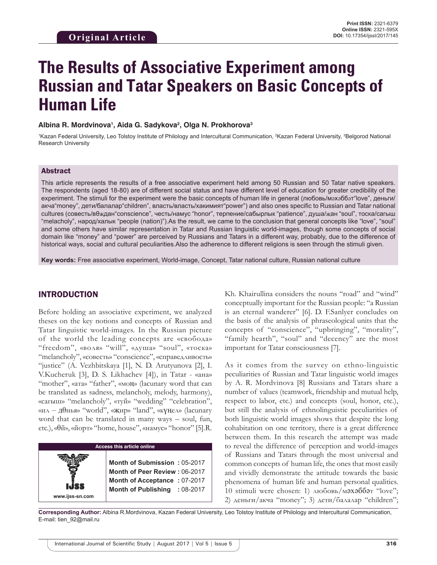# **The Results of Associative Experiment among Russian and Tatar Speakers on Basic Concepts of Human Life**

#### Albina R. Mordvinova<sup>ı</sup>, Aida G. Sadykova<sup>2</sup>, Olga N. Prokhorova<sup>3</sup>

<sup>1</sup>Kazan Federal University, Leo Tolstoy Institute of Philology and Intercultural Communication, <sup>2</sup>Kazan Federal University, <sup>3</sup>Belgorod National Research University

### Abstract

This article represents the results of a free associative experiment held among 50 Russian and 50 Tatar native speakers. The respondents (aged 18-80) are of different social status and have different level of education for greater credibility of the experiment. The stimuli for the experiment were the basic concepts of human life in general (любовь/мәхәббәт"love", деньги/ акча"money", дети/балалар"children", власть/власть/хакимият"power") and also ones specific to Russian and Tatar national cultures (совесть/вθҗдан"conscience", честь/намус "honor", терпение/сабырлык "patience", душа/җан "soul", тоска/сагыш "melacholy", народ/халык "people (nation)").As the result, we came to the conclusion that general concepts like "love", "soul" and some others have similar representation in Tatar and Russian linguistic world-images, though some concepts of social domain like "money" and "power" are perceived by Russians and Tatars in a different way, probably, due to the difference of historical ways, social and cultural peculiarities.Also the adherence to different religions is seen through the stimuli given.

**Key words:** Free associative experiment, World-image, Concept, Tatar national culture, Russian national culture

## INTRODUCTION

Before holding an associative experiment, we analyzed theses on the key notions and concepts of Russian and Tatar linguistic world-images. In the Russian picture of the world the leading concepts are «свобода» "freedom", «воля» "will", «душа» "soul", «тоска» "melancholy", «совесть» "conscience", «справедливость» "justice" (A. Vezhbitskaya [1], N. D. Arutyunova [2], I. V.Kucheruk [3], D. S. Likhachev [4]), in Tatar - «ана» "mother", «ата» "father", «моң» (lacunary word that can be translated as sadness, melancholy, melody, harmony), «сагыш» "melancholy", «туй» "wedding" "celebration", «ил ‒ дθнья» "world", «җир» "land", «күңел» (lacunary word that can be translated in many ways – soul, fun, etc.), «θй», «йорт» "home, house", «намус» "honor" [5].R.

| <b>Access this article online</b> |                                                                                                                                |  |
|-----------------------------------|--------------------------------------------------------------------------------------------------------------------------------|--|
| www.ijss-sn.com                   | Month of Submission: 05-2017<br>Month of Peer Review: 06-2017<br>Month of Acceptance: 07-2017<br>Month of Publishing : 08-2017 |  |
|                                   |                                                                                                                                |  |

Kh. Khairullina considers the nouns "road" and "wind" conceptually important for the Russian people: "a Russian is an eternal wanderer" [6]. D. F.Sanlyer concludes on the basis of the analysis of phraseological units that the concepts of "conscience", "upbringing", "morality", "family hearth", "soul" and "decency" are the most important for Tatar consciousness [7].

As it comes from the survey on ethno-linguistic peculiarities of Russian and Tatar linguistic world images by A. R. Mordvinova [8] Russians and Tatars share a number of values (teamwork, friendship and mutual help, respect to labor, etc.) and concepts (soul, honor, etc.), but still the analysis of ethnolinguistic peculiarities of both linguistic world images shows that despite the long cohabitation on one territory, there is a great difference between them. In this research the attempt was made to reveal the difference of perception and world-images of Russians and Tatars through the most universal and common concepts of human life, the ones that most easily and vividly demonstrate the attitude towards the basic phenomena of human life and human personal qualities. 10 stimuli were chosen: 1) любовь/мәхәббәт "love"; 2) деньги/акча "money"; 3) дети/балалар "children";

**Corresponding Author:** Albina R.Mordvinova, Kazan Federal University, Leo Tolstoy Institute of Philology and Intercultural Communication, E-mail: tien\_92@mail.ru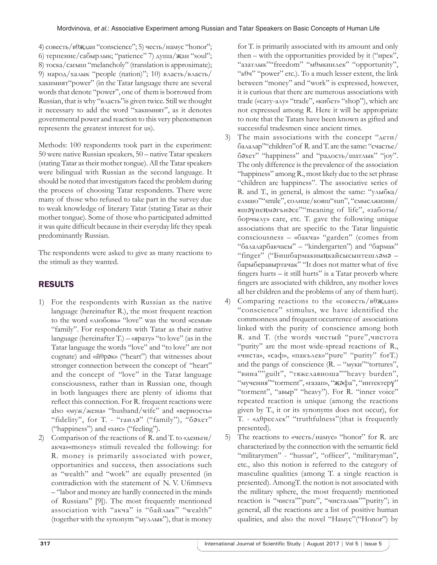4) совесть/вθҗдан "conscience"; 5) честь/намус "honor"; 6) терпение/сабырлык; "patience" 7) душа/җан "soul"; 8) тоска/сагыш "melancholy" (translation is approximate); 9) народ/халык "people (nation)"; 10) власть/власть/ хакимият"power" (in the Tatar language there are several words that denote "power", one of them is borrowed from Russian, that is why "власть"is given twice. Still we thought it necessary to add the word "хакимият", as it denotes governmental power and reaction to this very phenomenon represents the greatest interest for us).

Methods: 100 respondents took part in the experiment: 50 were native Russian speakers, 50 – native Tatar speakers (stating Tatar as their mother tongue). All the Tatar speakers were bilingual with Russian as the second language. It should be noted that investigators faced the problem during the process of choosing Tatar respondents. There were many of those who refused to take part in the survey due to weak knowledge of literary Tatar (stating Tatar as their mother tongue). Some of those who participated admitted it was quite difficult because in their everyday life they speak predominantly Russian.

The respondents were asked to give as many reactions to the stimuli as they wanted.

# RESULTS

- 1) For the respondents with Russian as the native language (hereinafter R.), the most frequent reaction to the word «любовь» "love" was the word «семья» "family". For respondents with Tatar as their native language (hereinafter T.) – «ярату» "to love" (as in the Tatar language the words "love" and "to love" are not cognate) and «йθрәк» ("heart") that witnesses about stronger connection between the concept of "heart" and the concept of "love" in the Tatar language consciousness, rather than in Russian one, though in both languages there are plenty of idioms that reflect this connection. For R. frequent reactions were also «муж/жена» "husband/wife" and «верность» "fidelity", for T. - "гаилә" ("family"), "бәхет" ("happiness") and «хис» ("feeling").
- 2) Comparison of the reactions of R. and T. to «деньги/ акча»«money» stimuli revealed the following: for R. money is primarily associated with power, opportunities and success, then associations such as "wealth" and "work" are equally presented (in contradiction with the statement of N. V. Ufimtseva – "labor and money are hardly connected in the minds of Russians" [9]). The most frequently mentioned association with "акча" is "байлык" "wealth" (together with the synonym "муллык"), that is money

for T. is primarily associated with its amount and only then – with the opportunities provided by it ("ирек", "азатлык""freedom" "мθмкинлек" "opportunity", " $\kappa$ θч" "power" etc.). To a much lesser extent, the link between "money" and "work" is expressed, however, it is curious that there are numerous associations with trade («сату-алу» "trade", «кибет» "shop"), which are not expressed among R. Here it will be appropriate to note that the Tatars have been known as gifted and successful tradesmen since ancient times.

- 3) The main associations with the concept "дети/ балалар""children"of R. and T. are the same: "счастье/ бәхет" "happiness" and "радость/шатлык" "joy". The only difference is the prevalence of the association "happiness" among R., most likely due to the set phrase "children are happiness". The associative series of R. and T., in general, is almost the same: "улыбка/ елмаю""smile", солнце/кояш"sun", "смыслжизни/ яшәүнеңмәгънәсе""meaning of life", «заботы/ борчылу» care, etc. T. gave the following unique associations that are specific to the Tatar linguistic consciousness – «бакча» "garden" (comes from "балаларбакчасы" – "kindergarten") and "бармак" "finger" ("Бишбармакныңкайсысынтешләмә – барыберавыртачак" "It does not matter what of five fingers hurts – it still hurts" is a Tatar proverb where fingers are associated with children, any mother loves all her children and the problems of any of them hurt).
- 4) Comparing reactions to the «совесть/в $\theta$ ждан» "conscience" stimulus, we have identified the commonness and frequent occurrence of associations linked with the purity of conscience among both R. and T. (the words чистый "pure",чистота "purity" are the most wide-spread reactions of R., «чиста», «саф», «пакълек»"pure" "purity" forT.) and the pangs of conscience  $(R. - "MyKH" 'tortures'$ , "вина""guilt", "тяжелаяноша""heavy burden", "мучения""torment", «газап», "җәфа", "интектерү" "torment", "авыр" "heavy"). For R. "inner voice" repeated reaction is unique (among the reactions given by T., it or its synonyms does not occur), for T. - «дθреслек" "truthfulness"(that is frequently presented).
- 5) The reactions to «честь/намус» "honor" for R. are characterized by the connection with the semantic field "militarymen" - "hussar", "officer", "militaryman", etc., also this notion is referred to the category of masculine qualities (among T. a single reaction is presented). AmongT. the notion is not associated with the military sphere, the most frequently mentioned reaction is "чиста""pure", "чисталык""purity"; in general, all the reactions are a list of positive human qualities, and also the novel "Намус"("Honor") by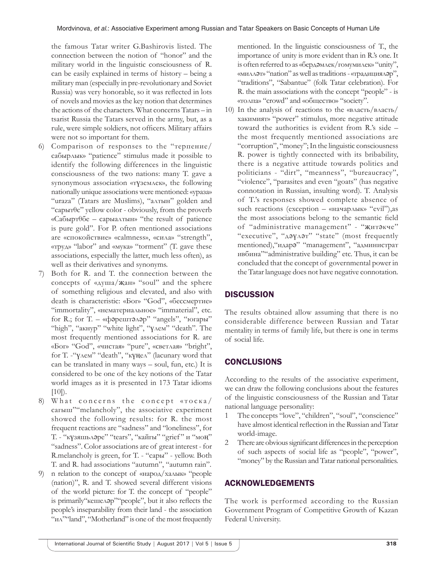the famous Tatar writer G.Bashirovis listed. The connection between the notion of "honor" and the military world in the linguistic consciousness of R. can be easily explained in terms of history – being a military man (especially in pre-revolutionary and Soviet Russia) was very honorable, so it was reflected in lots of novels and movies as the key notion that determines the actions of the characters. What concerns Tatars – in tsarist Russia the Tatars served in the army, but, as a rule, were simple soldiers, not officers. Military affairs were not so important for them.

- 6) Comparison of responses to the "терпение/ сабырлык» "patience" stimulus made it possible to identify the following differences in the linguistic consciousness of the two nations: many T. gave a synonymous association «түземлек», the following nationally unique associations were mentioned: «ураза» "uraza" (Tatars are Muslims), "алтын" golden and "сарытθс" yellow color - obviously, from the proverb «Сабыртθбе – сарыалтын» "the result of patience is pure gold". For P. often mentioned associations are «спокойствие» «calmness», «сила» "strength", «труд» "labor" and «мука» "torment" (T. gave these associations, especially the latter, much less often), as well as their derivatives and synonyms.
- 7) Both for R. and T. the connection between the concepts of «душа/җан» "soul" and the sphere of something religious and elevated, and also with death is characteristic: «Бог» "God", «бессмертие» "immortality", «нематериальное» "immaterial", etc. for R.; for T. – «фәрештәләр" "angels", "югары" "high", "акнур" "white light", "үлем" "death". The most frequently mentioned associations for R. are «Бог» "God", «чистая» "pure", «светлая» "bright", for T. -"үлем" "death", "күңел" (lacunary word that can be translated in many ways – soul, fun, etc.) It is considered to be one of the key notions of the Tatar world images as it is presented in 173 Tatar idioms  $[10]$ ).
- 8) What concerns the concept «тоска/ сагыш""melancholy", the associative experiment showed the following results: for R. the most frequent reactions are "sadness" and "loneliness", for T. - "күзяшьләре" "tears", "кайгы" "grief " и "моң" "sadness". Color associations are of great interest - for R.melancholy is green, for T. - "сары" - yellow. Both T. and R. had associations "autumn", "autumn rain".
- 9) n relation to the concept of «народ/халык» "people (nation)", R. and T. showed several different visions of the world picture: for T. the concept of "people" is primarily"кешеләр""people", but it also reflects the people's inseparability from their land - the association "ил""and", "Motherland" is one of the most frequently

mentioned. In the linguistic consciousness of T., the importance of unity is more evident than in R.'s one. It is often referred to as «бердәмлек/гомумилек» "unity", «милләт» "nation" as well as traditions-«традицияләр", "traditions", "Sabantue" (folk Tatar celebration). For R. the main associations with the concept "people" - is «толпа» "crowd" and «общество» "society".

10) In the analysis of reactions to the «власть/власть/ хакимият» "power" stimulus, more negative attitude toward the authorities is evident from R.'s side – the most frequently mentioned associations are "corruption", "money"; In the linguistic consciousness R. power is tightly connected with its bribability, there is a negative attitude towards politics and politicians - "dirt", "meanness", "bureaucracy", "violence", "parasites and even "goats" (has negative connotation in Russian, insulting word). T. Analysis of T.'s responses showed complete absence of such reactions (exception – «начарлык» "evil"), as the most associations belong to the semantic field of "administrative management" - "җитәкче" "executive", "дәүләт" "state" (most frequently mentioned),"идарә" "management", "администрат ивбина""administrative building" etc. Thus, it can be concluded that the concept of governmental power in the Tatar language does not have negative connotation.

## **DISCUSSION**

The results obtained allow assuming that there is no considerable difference between Russian and Tatar mentality in terms of family life, but there is one in terms of social life.

# **CONCLUSIONS**

According to the results of the associative experiment, we can draw the following conclusions about the features of the linguistic consciousness of the Russian and Tatar national language personality:

- 1 The concepts "love", "children", "soul", "conscience" have almost identical reflection in the Russian and Tatar world-image.
- 2 There are obvious significant differences in the perception of such aspects of social life as "people", "power", "money" by the Russian and Tatar national personalities.

## ACKNOWLEDGEMENTS

The work is performed according to the Russian Government Program of Competitive Growth of Kazan Federal University.